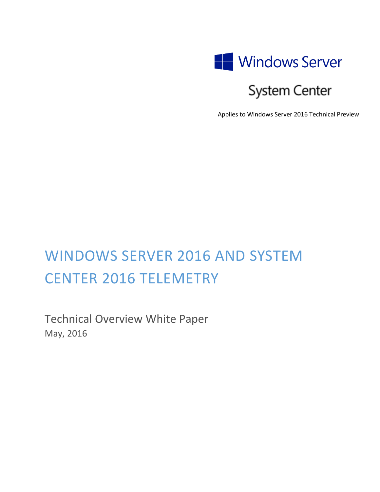

# System Center

Applies to Windows Server 2016 Technical Preview

# WINDOWS SERVER 2016 AND SYSTEM CENTER 2016 TELEMETRY

Technical Overview White Paper May, 2016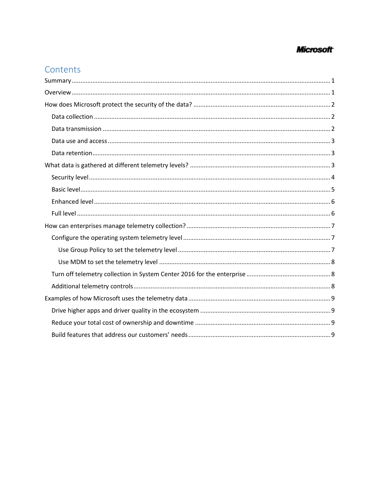# **Microsoft**

# Contents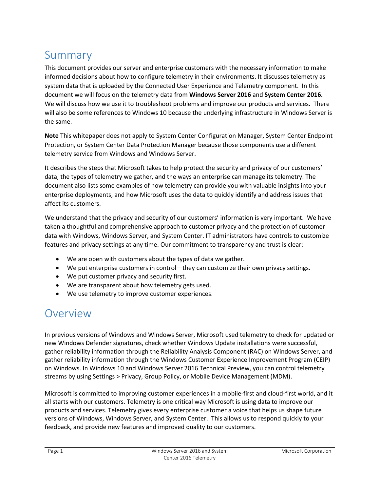# <span id="page-2-0"></span>Summary

This document provides our server and enterprise customers with the necessary information to make informed decisions about how to configure telemetry in their environments. It discusses telemetry as system data that is uploaded by the Connected User Experience and Telemetry component. In this document we will focus on the telemetry data from **Windows Server 2016** and **System Center 2016.**  We will discuss how we use it to troubleshoot problems and improve our products and services. There will also be some references to Windows 10 because the underlying infrastructure in Windows Server is the same.

**Note** This whitepaper does not apply to System Center Configuration Manager, System Center Endpoint Protection, or System Center Data Protection Manager because those components use a different telemetry service from Windows and Windows Server.

It describes the steps that Microsoft takes to help protect the security and privacy of our customers' data, the types of telemetry we gather, and the ways an enterprise can manage its telemetry. The document also lists some examples of how telemetry can provide you with valuable insights into your enterprise deployments, and how Microsoft uses the data to quickly identify and address issues that affect its customers.

We understand that the privacy and security of our customers' information is very important. We have taken a thoughtful and comprehensive approach to customer privacy and the protection of customer data with Windows, Windows Server, and System Center. IT administrators have controls to customize features and privacy settings at any time. Our commitment to transparency and trust is clear:

- We are open with customers about the types of data we gather.
- We put enterprise customers in control—they can customize their own privacy settings.
- We put customer privacy and security first.
- We are transparent about how telemetry gets used.
- We use telemetry to improve customer experiences.

# <span id="page-2-1"></span>Overview

In previous versions of Windows and Windows Server, Microsoft used telemetry to check for updated or new Windows Defender signatures, check whether Windows Update installations were successful, gather reliability information through the Reliability Analysis Component (RAC) on Windows Server, and gather reliability information through the Windows Customer Experience Improvement Program (CEIP) on Windows. In Windows 10 and Windows Server 2016 Technical Preview, you can control telemetry streams by using Settings > Privacy, Group Policy, or Mobile Device Management (MDM).

Microsoft is committed to improving customer experiences in a mobile-first and cloud-first world, and it all starts with our customers. Telemetry is one critical way Microsoft is using data to improve our products and services. Telemetry gives every enterprise customer a voice that helps us shape future versions of Windows, Windows Server, and System Center. This allows us to respond quickly to your feedback, and provide new features and improved quality to our customers.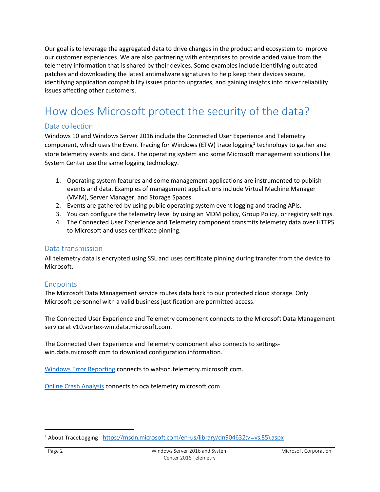Our goal is to leverage the aggregated data to drive changes in the product and ecosystem to improve our customer experiences. We are also partnering with enterprises to provide added value from the telemetry information that is shared by their devices. Some examples include identifying outdated patches and downloading the latest antimalware signatures to help keep their devices secure, identifying application compatibility issues prior to upgrades, and gaining insights into driver reliability issues affecting other customers.

# <span id="page-3-0"></span>How does Microsoft protect the security of the data?

### <span id="page-3-1"></span>Data collection

Windows 10 and Windows Server 2016 include the Connected User Experience and Telemetry component, which uses the Event Tracing for Windows (ETW) trace logging<sup>[1](#page-3-3)</sup> technology to gather and store telemetry events and data. The operating system and some Microsoft management solutions like System Center use the same logging technology.

- 1. Operating system features and some management applications are instrumented to publish events and data. Examples of management applications include Virtual Machine Manager (VMM), Server Manager, and Storage Spaces.
- 2. Events are gathered by using public operating system event logging and tracing APIs.
- 3. You can configure the telemetry level by using an MDM policy, Group Policy, or registry settings.
- 4. The Connected User Experience and Telemetry component transmits telemetry data over HTTPS to Microsoft and uses certificate pinning.

#### <span id="page-3-2"></span>Data transmission

All telemetry data is encrypted using SSL and uses certificate pinning during transfer from the device to Microsoft.

### **Endpoints**

The Microsoft Data Management service routes data back to our protected cloud storage. Only Microsoft personnel with a valid business justification are permitted access.

The Connected User Experience and Telemetry component connects to the Microsoft Data Management service at v10.vortex-win.data.microsoft.com.

The Connected User Experience and Telemetry component also connects to settingswin.data.microsoft.com to download configuration information.

[Windows Error Reporting](http://msdn.microsoft.com/library/windows/desktop/bb513641(v=vs.85).aspx) connects to watson.telemetry.microsoft.com.

[Online Crash Analysis](http://msdn.microsoft.com/library/windows/desktop/ee416349(v=vs.85).aspx) connects to oca.telemetry.microsoft.com.

<span id="page-3-3"></span> <sup>1</sup> About TraceLogging - [https://msdn.microsoft.com/en-us/library/dn904632\(v=vs.85\).aspx](https://msdn.microsoft.com/en-us/library/dn904632(v=vs.85).aspx)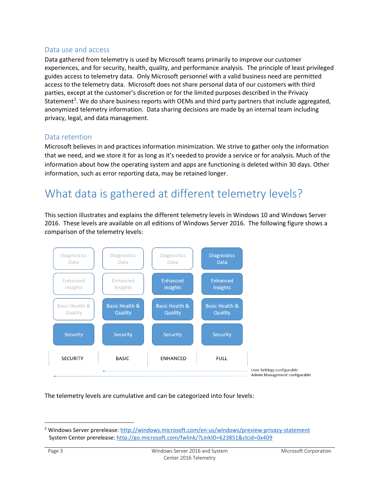#### <span id="page-4-0"></span>Data use and access

Data gathered from telemetry is used by Microsoft teams primarily to improve our customer experiences, and for security, health, quality, and performance analysis. The principle of least privileged guides access to telemetry data. Only Microsoft personnel with a valid business need are permitted access to the telemetry data. Microsoft does not share personal data of our customers with third parties, except at the customer's discretion or for the limited purposes described in the Privacy Statement<sup>2</sup>. We do share business reports with OEMs and third party partners that include aggregated, anonymized telemetry information. Data sharing decisions are made by an internal team including privacy, legal, and data management.

#### <span id="page-4-1"></span>Data retention

Microsoft believes in and practices information minimization. We strive to gather only the information that we need, and we store it for as long as it's needed to provide a service or for analysis. Much of the information about how the operating system and apps are functioning is deleted within 30 days. Other information, such as error reporting data, may be retained longer.

# <span id="page-4-2"></span>What data is gathered at different telemetry levels?

This section illustrates and explains the different telemetry levels in Windows 10 and Windows Server 2016. These levels are available on all editions of Windows Server 2016. The following figure shows a comparison of the telemetry levels:



The telemetry levels are cumulative and can be categorized into four levels:

<span id="page-4-3"></span> <sup>2</sup> Windows Server prerelease:<http://windows.microsoft.com/en-us/windows/preview-privacy-statement> System Center prerelease:<http://go.microsoft.com/fwlink/?LinkID=623851&clcid=0x409>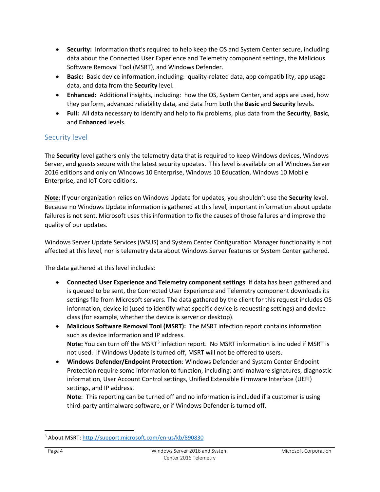- **Security:** Information that's required to help keep the OS and System Center secure, including data about the Connected User Experience and Telemetry component settings, the Malicious Software Removal Tool (MSRT), and Windows Defender.
- **Basic:** Basic device information, including: quality-related data, app compatibility, app usage data, and data from the **Security** level.
- **Enhanced:** Additional insights, including: how the OS, System Center, and apps are used, how they perform, advanced reliability data, and data from both the **Basic** and **Security** levels.
- **Full:** All data necessary to identify and help to fix problems, plus data from the **Security**, **Basic**, and **Enhanced** levels.

### <span id="page-5-0"></span>Security level

The **Security** level gathers only the telemetry data that is required to keep Windows devices, Windows Server, and guests secure with the latest security updates. This level is available on all Windows Server 2016 editions and only on Windows 10 Enterprise, Windows 10 Education, Windows 10 Mobile Enterprise, and IoT Core editions.

**Note**: If your organization relies on Windows Update for updates, you shouldn't use the **Security** level. Because no Windows Update information is gathered at this level, important information about update failures is not sent. Microsoft uses this information to fix the causes of those failures and improve the quality of our updates.

Windows Server Update Services (WSUS) and System Center Configuration Manager functionality is not affected at this level, nor is telemetry data about Windows Server features or System Center gathered.

The data gathered at this level includes:

- **Connected User Experience and Telemetry component settings**: If data has been gathered and is queued to be sent, the Connected User Experience and Telemetry component downloads its settings file from Microsoft servers. The data gathered by the client for this request includes OS information, device id (used to identify what specific device is requesting settings) and device class (for example, whether the device is server or desktop).
- **Malicious Software Removal Tool (MSRT):** The MSRT infection report contains information such as device information and IP address. **Note:** You can turn off the MSRT<sup>[3](#page-5-1)</sup> infection report. No MSRT information is included if MSRT is not used. If Windows Update is turned off, MSRT will not be offered to users.
- **Windows Defender/Endpoint Protection**: Windows Defender and System Center Endpoint Protection require some information to function, including: anti-malware signatures, diagnostic information, User Account Control settings, Unified Extensible Firmware Interface (UEFI) settings, and IP address.

**Note**: This reporting can be turned off and no information is included if a customer is using third-party antimalware software, or if Windows Defender is turned off.

<span id="page-5-1"></span> <sup>3</sup> About MSRT:<http://support.microsoft.com/en-us/kb/890830>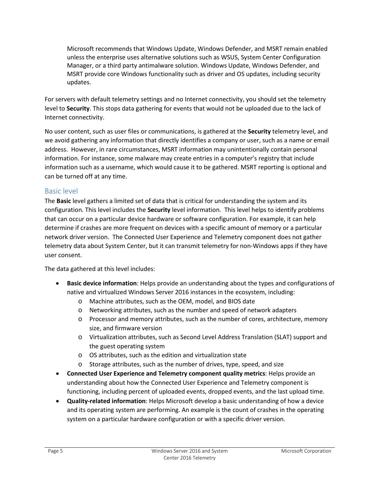Microsoft recommends that Windows Update, Windows Defender, and MSRT remain enabled unless the enterprise uses alternative solutions such as WSUS, System Center Configuration Manager, or a third party antimalware solution. Windows Update, Windows Defender, and MSRT provide core Windows functionality such as driver and OS updates, including security updates.

For servers with default telemetry settings and no Internet connectivity, you should set the telemetry level to **Security**. This stops data gathering for events that would not be uploaded due to the lack of Internet connectivity.

No user content, such as user files or communications, is gathered at the **Security** telemetry level, and we avoid gathering any information that directly identifies a company or user, such as a name or email address. However, in rare circumstances, MSRT information may unintentionally contain personal information. For instance, some malware may create entries in a computer's registry that include information such as a username, which would cause it to be gathered. MSRT reporting is optional and can be turned off at any time.

### <span id="page-6-0"></span>Basic level

The **Basic** level gathers a limited set of data that is critical for understanding the system and its configuration. This level includes the **Security** level information. This level helps to identify problems that can occur on a particular device hardware or software configuration. For example, it can help determine if crashes are more frequent on devices with a specific amount of memory or a particular network driver version. The Connected User Experience and Telemetry component does not gather telemetry data about System Center, but it can transmit telemetry for non-Windows apps if they have user consent.

The data gathered at this level includes:

- **Basic device information**: Helps provide an understanding about the types and configurations of native and virtualized Windows Server 2016 instances in the ecosystem, including:
	- o Machine attributes, such as the OEM, model, and BIOS date
	- o Networking attributes, such as the number and speed of network adapters
	- o Processor and memory attributes, such as the number of cores, architecture, memory size, and firmware version
	- o Virtualization attributes, such as Second Level Address Translation (SLAT) support and the guest operating system
	- o OS attributes, such as the edition and virtualization state
	- o Storage attributes, such as the number of drives, type, speed, and size
- **Connected User Experience and Telemetry component quality metrics**: Helps provide an understanding about how the Connected User Experience and Telemetry component is functioning, including percent of uploaded events, dropped events, and the last upload time.
- **Quality-related information**: Helps Microsoft develop a basic understanding of how a device and its operating system are performing. An example is the count of crashes in the operating system on a particular hardware configuration or with a specific driver version.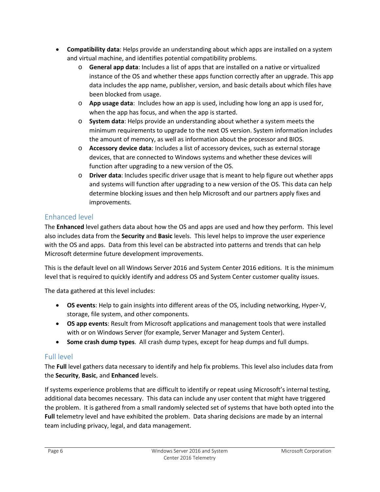- **Compatibility data**: Helps provide an understanding about which apps are installed on a system and virtual machine, and identifies potential compatibility problems.
	- o **General app data**: Includes a list of apps that are installed on a native or virtualized instance of the OS and whether these apps function correctly after an upgrade. This app data includes the app name, publisher, version, and basic details about which files have been blocked from usage.
	- o **App usage data**: Includes how an app is used, including how long an app is used for, when the app has focus, and when the app is started.
	- o **System data**: Helps provide an understanding about whether a system meets the minimum requirements to upgrade to the next OS version. System information includes the amount of memory, as well as information about the processor and BIOS.
	- o **Accessory device data**: Includes a list of accessory devices, such as external storage devices, that are connected to Windows systems and whether these devices will function after upgrading to a new version of the OS.
	- o **Driver data**: Includes specific driver usage that is meant to help figure out whether apps and systems will function after upgrading to a new version of the OS. This data can help determine blocking issues and then help Microsoft and our partners apply fixes and improvements.

## <span id="page-7-0"></span>Enhanced level

The **Enhanced** level gathers data about how the OS and apps are used and how they perform. This level also includes data from the **Security** and **Basic** levels. This level helps to improve the user experience with the OS and apps. Data from this level can be abstracted into patterns and trends that can help Microsoft determine future development improvements.

This is the default level on all Windows Server 2016 and System Center 2016 editions. It is the minimum level that is required to quickly identify and address OS and System Center customer quality issues.

The data gathered at this level includes:

- **OS events**: Help to gain insights into different areas of the OS, including networking, Hyper-V, storage, file system, and other components.
- **OS app events**: Result from Microsoft applications and management tools that were installed with or on Windows Server (for example, Server Manager and System Center).
- **Some crash dump types**. All crash dump types, except for heap dumps and full dumps.

# <span id="page-7-1"></span>Full level

The **Full** level gathers data necessary to identify and help fix problems. This level also includes data from the **Security**, **Basic**, and **Enhanced** levels.

If systems experience problems that are difficult to identify or repeat using Microsoft's internal testing, additional data becomes necessary. This data can include any user content that might have triggered the problem. It is gathered from a small randomly selected set of systems that have both opted into the **Full** telemetry level and have exhibited the problem. Data sharing decisions are made by an internal team including privacy, legal, and data management.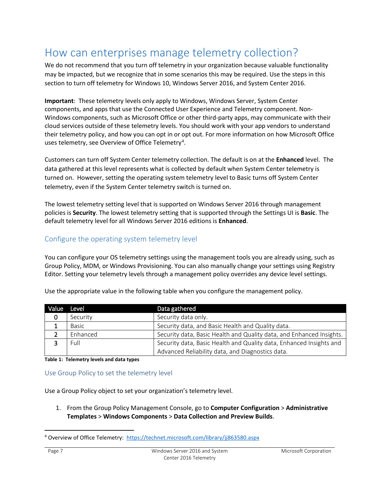# <span id="page-8-0"></span>How can enterprises manage telemetry collection?

We do not recommend that you turn off telemetry in your organization because valuable functionality may be impacted, but we recognize that in some scenarios this may be required. Use the steps in this section to turn off telemetry for Windows 10, Windows Server 2016, and System Center 2016.

**Important**: These telemetry levels only apply to Windows, Windows Server, System Center components, and apps that use the Connected User Experience and Telemetry component. Non-Windows components, such as Microsoft Office or other third-party apps, may communicate with their cloud services outside of these telemetry levels. You should work with your app vendors to understand their telemetry policy, and how you can opt in or opt out. For more information on how Microsoft Office uses telemetry, see Overview of Office Telemetry<sup>[4](#page-8-3)</sup>.

Customers can turn off System Center telemetry collection. The default is on at the **Enhanced** level. The data gathered at this level represents what is collected by default when System Center telemetry is turned on. However, setting the operating system telemetry level to Basic turns off System Center telemetry, even if the System Center telemetry switch is turned on.

The lowest telemetry setting level that is supported on Windows Server 2016 through management policies is **Security**. The lowest telemetry setting that is supported through the Settings UI is **Basic**. The default telemetry level for all Windows Server 2016 editions is **Enhanced**.

### <span id="page-8-1"></span>Configure the operating system telemetry level

You can configure your OS telemetry settings using the management tools you are already using, such as Group Policy, MDM, or Windows Provisioning. You can also manually change your settings using Registry Editor. Setting your telemetry levels through a management policy overrides any device level settings.

| <b>Value</b> | Level    | Data gathered                                                        |
|--------------|----------|----------------------------------------------------------------------|
| 0            | Security | Security data only.                                                  |
|              | Basic    | Security data, and Basic Health and Quality data.                    |
|              | Enhanced | Security data, Basic Health and Quality data, and Enhanced Insights. |
|              | Full     | Security data, Basic Health and Quality data, Enhanced Insights and  |
|              |          | Advanced Reliability data, and Diagnostics data.                     |

Use the appropriate value in the following table when you configure the management policy.

**Table 1: Telemetry levels and data types**

#### <span id="page-8-2"></span>Use Group Policy to set the telemetry level

Use a Group Policy object to set your organization's telemetry level.

1. From the Group Policy Management Console, go to **Computer Configuration** > **Administrative Templates** > **Windows Components** > **Data Collection and Preview Builds**.

<span id="page-8-3"></span><sup>&</sup>lt;sup>4</sup> Overview of Office Telemetry: <https://technet.microsoft.com/library/jj863580.aspx>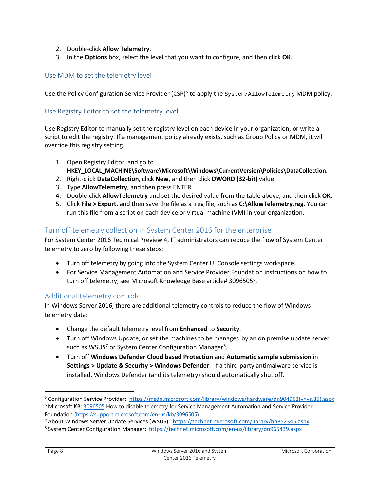- 2. Double-click **Allow Telemetry**.
- 3. In the **Options** box, select the level that you want to configure, and then click **OK**.

#### <span id="page-9-0"></span>Use MDM to set the telemetry level

Use th[e Policy Configuration Service Provider \(CSP\)](http://msdn.microsoft.com/library/windows/hardware/dn904962(v=vs.85).aspx)<sup>[5](#page-9-3)</sup> to apply the  $System/AllowTeemetry MDM policy$ .

#### Use Registry Editor to set the telemetry level

Use Registry Editor to manually set the registry level on each device in your organization, or write a script to edit the registry. If a management policy already exists, such as Group Policy or MDM, it will override this registry setting.

- 1. Open Registry Editor, and go to **HKEY\_LOCAL\_MACHINE\Software\Microsoft\Windows\CurrentVersion\Policies\DataCollection**.
- 2. Right-click **DataCollection**, click **New**, and then click **DWORD (32-bit)** value.
- 3. Type **AllowTelemetry**, and then press ENTER.
- 4. Double-click **AllowTelemetry** and set the desired value from the table above, and then click **OK**.
- 5. Click **File > Export**, and then save the file as a .reg file, such as **C:\AllowTelemetry.reg**. You can run this file from a script on each device or virtual machine (VM) in your organization.

#### <span id="page-9-1"></span>Turn off telemetry collection in System Center 2016 for the enterprise

For System Center 2016 Technical Preview 4, IT administrators can reduce the flow of System Center telemetry to zero by following these steps:

- Turn off telemetry by going into the System Center UI Console settings workspace.
- For Service Management Automation and Service Provider Foundation instructions on how to turn off telemetry, see Microsoft Knowledge Base article# 309[6](#page-9-4)505 $^6$ .

#### <span id="page-9-2"></span>Additional telemetry controls

In Windows Server 2016, there are additional telemetry controls to reduce the flow of Windows telemetry data:

- Change the default telemetry level from **Enhanced** to **Security**.
- Turn off Windows Update, or set the machines to be managed by an on premise update server such as WSUS<sup>[7](#page-9-5)</sup> or System Center Configuration Manager<sup>[8](#page-9-6)</sup>.
- Turn off **Windows Defender Cloud based Protection** and **Automatic sample submission** in **Settings > Update & Security > Windows Defender**. If a third-party antimalware service is installed, Windows Defender (and its telemetry) should automatically shut off.

<span id="page-9-3"></span> <sup>5</sup> Configuration Service Provider: [https://msdn.microsoft.com/library/windows/hardware/dn904962\(v=vs.85\).aspx](https://msdn.microsoft.com/library/windows/hardware/dn904962(v=vs.85).aspx)

<span id="page-9-4"></span><sup>&</sup>lt;sup>6</sup> Microsoft KB: [3096505](https://support.microsoft.com/en-us/kb/3096505) How to disable telemetry for Service Management Automation and Service Provider Foundation [\(https://support.microsoft.com/en-us/kb/3096505\)](https://support.microsoft.com/en-us/kb/3096505)

<span id="page-9-5"></span><sup>7</sup> About Windows Server Update Services (WSUS):<https://technet.microsoft.com/library/hh852345.aspx>

<span id="page-9-6"></span><sup>8</sup> System Center Configuration Manager:<https://technet.microsoft.com/en-us/library/dn965439.aspx>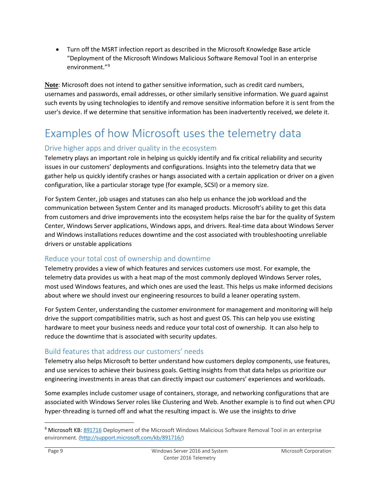• Turn off the MSRT infection report as described in the Microsoft Knowledge Base article "Deployment of the Microsoft Windows Malicious Software Removal Tool in an enterprise environment."[9](#page-10-4)

**Note**: Microsoft does not intend to gather sensitive information, such as credit card numbers, usernames and passwords, email addresses, or other similarly sensitive information. We guard against such events by using technologies to identify and remove sensitive information before it is sent from the user's device. If we determine that sensitive information has been inadvertently received, we delete it.

# <span id="page-10-0"></span>Examples of how Microsoft uses the telemetry data

### <span id="page-10-1"></span>Drive higher apps and driver quality in the ecosystem

Telemetry plays an important role in helping us quickly identify and fix critical reliability and security issues in our customers' deployments and configurations. Insights into the telemetry data that we gather help us quickly identify crashes or hangs associated with a certain application or driver on a given configuration, like a particular storage type (for example, SCSI) or a memory size.

For System Center, job usages and statuses can also help us enhance the job workload and the communication between System Center and its managed products. Microsoft's ability to get this data from customers and drive improvements into the ecosystem helps raise the bar for the quality of System Center, Windows Server applications, Windows apps, and drivers. Real-time data about Windows Server and Windows installations reduces downtime and the cost associated with troubleshooting unreliable drivers or unstable applications

### <span id="page-10-2"></span>Reduce your total cost of ownership and downtime

Telemetry provides a view of which features and services customers use most. For example, the telemetry data provides us with a heat map of the most commonly deployed Windows Server roles, most used Windows features, and which ones are used the least. This helps us make informed decisions about where we should invest our engineering resources to build a leaner operating system.

For System Center, understanding the customer environment for management and monitoring will help drive the support compatibilities matrix, such as host and guest OS. This can help you use existing hardware to meet your business needs and reduce your total cost of ownership. It can also help to reduce the downtime that is associated with security updates.

# <span id="page-10-3"></span>Build features that address our customers' needs

Telemetry also helps Microsoft to better understand how customers deploy components, use features, and use services to achieve their business goals. Getting insights from that data helps us prioritize our engineering investments in areas that can directly impact our customers' experiences and workloads.

Some examples include customer usage of containers, storage, and networking configurations that are associated with Windows Server roles like Clustering and Web. Another example is to find out when CPU hyper-threading is turned off and what the resulting impact is. We use the insights to drive

<span id="page-10-4"></span><sup>&</sup>lt;sup>9</sup> Microsoft KB: [891716](http://support.microsoft.com/kb/891716/) Deployment of the Microsoft Windows Malicious Software Removal Tool in an enterprise environment. [\(http://support.microsoft.com/kb/891716/\)](http://support.microsoft.com/kb/891716/)